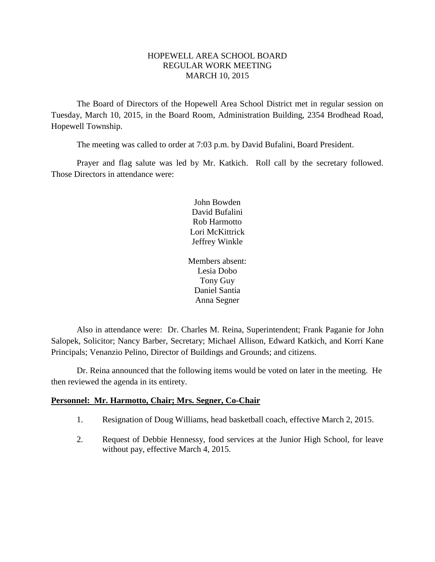### HOPEWELL AREA SCHOOL BOARD REGULAR WORK MEETING MARCH 10, 2015

The Board of Directors of the Hopewell Area School District met in regular session on Tuesday, March 10, 2015, in the Board Room, Administration Building, 2354 Brodhead Road, Hopewell Township.

The meeting was called to order at 7:03 p.m. by David Bufalini, Board President.

Prayer and flag salute was led by Mr. Katkich. Roll call by the secretary followed. Those Directors in attendance were:

> John Bowden David Bufalini Rob Harmotto Lori McKittrick Jeffrey Winkle

Members absent: Lesia Dobo Tony Guy Daniel Santia Anna Segner

Also in attendance were: Dr. Charles M. Reina, Superintendent; Frank Paganie for John Salopek, Solicitor; Nancy Barber, Secretary; Michael Allison, Edward Katkich, and Korri Kane Principals; Venanzio Pelino, Director of Buildings and Grounds; and citizens.

Dr. Reina announced that the following items would be voted on later in the meeting. He then reviewed the agenda in its entirety.

### **Personnel: Mr. Harmotto, Chair; Mrs. Segner, Co-Chair**

- 1. Resignation of Doug Williams, head basketball coach, effective March 2, 2015.
- 2. Request of Debbie Hennessy, food services at the Junior High School, for leave without pay, effective March 4, 2015.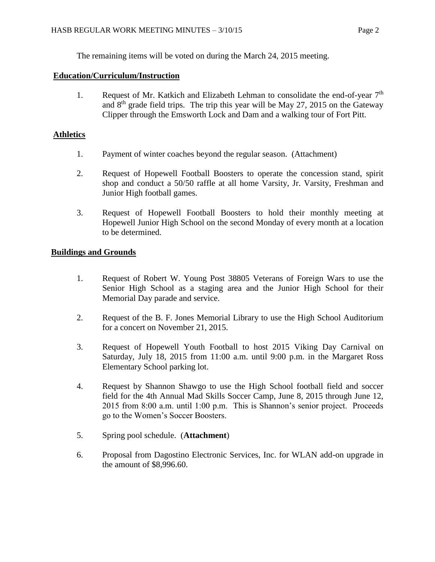The remaining items will be voted on during the March 24, 2015 meeting.

## **Education/Curriculum/Instruction**

1. Request of Mr. Katkich and Elizabeth Lehman to consolidate the end-of-year  $7<sup>th</sup>$ and  $8<sup>th</sup>$  grade field trips. The trip this year will be May 27, 2015 on the Gateway Clipper through the Emsworth Lock and Dam and a walking tour of Fort Pitt.

# **Athletics**

- 1. Payment of winter coaches beyond the regular season. (Attachment)
- 2. Request of Hopewell Football Boosters to operate the concession stand, spirit shop and conduct a 50/50 raffle at all home Varsity, Jr. Varsity, Freshman and Junior High football games.
- 3. Request of Hopewell Football Boosters to hold their monthly meeting at Hopewell Junior High School on the second Monday of every month at a location to be determined.

# **Buildings and Grounds**

- 1. Request of Robert W. Young Post 38805 Veterans of Foreign Wars to use the Senior High School as a staging area and the Junior High School for their Memorial Day parade and service.
- 2. Request of the B. F. Jones Memorial Library to use the High School Auditorium for a concert on November 21, 2015.
- 3. Request of Hopewell Youth Football to host 2015 Viking Day Carnival on Saturday, July 18, 2015 from 11:00 a.m. until 9:00 p.m. in the Margaret Ross Elementary School parking lot.
- 4. Request by Shannon Shawgo to use the High School football field and soccer field for the 4th Annual Mad Skills Soccer Camp, June 8, 2015 through June 12, 2015 from 8:00 a.m. until 1:00 p.m. This is Shannon's senior project. Proceeds go to the Women's Soccer Boosters.
- 5. Spring pool schedule. (**Attachment**)
- 6. Proposal from Dagostino Electronic Services, Inc. for WLAN add-on upgrade in the amount of \$8,996.60.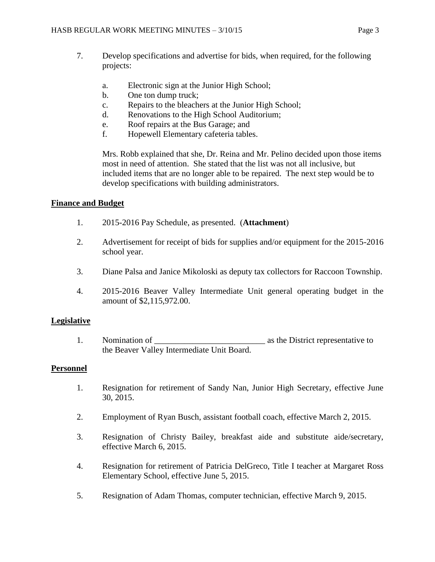- 7. Develop specifications and advertise for bids, when required, for the following projects:
	- a. Electronic sign at the Junior High School;
	- b. One ton dump truck;
	- c. Repairs to the bleachers at the Junior High School;
	- d. Renovations to the High School Auditorium;
	- e. Roof repairs at the Bus Garage; and
	- f. Hopewell Elementary cafeteria tables.

Mrs. Robb explained that she, Dr. Reina and Mr. Pelino decided upon those items most in need of attention. She stated that the list was not all inclusive, but included items that are no longer able to be repaired. The next step would be to develop specifications with building administrators.

### **Finance and Budget**

- 1. 2015-2016 Pay Schedule, as presented. (**Attachment**)
- 2. Advertisement for receipt of bids for supplies and/or equipment for the 2015-2016 school year.
- 3. Diane Palsa and Janice Mikoloski as deputy tax collectors for Raccoon Township.
- 4. 2015-2016 Beaver Valley Intermediate Unit general operating budget in the amount of \$2,115,972.00.

### **Legislative**

1. Nomination of  $\qquad \qquad$  as the District representative to the Beaver Valley Intermediate Unit Board.

### **Personnel**

- 1. Resignation for retirement of Sandy Nan, Junior High Secretary, effective June 30, 2015.
- 2. Employment of Ryan Busch, assistant football coach, effective March 2, 2015.
- 3. Resignation of Christy Bailey, breakfast aide and substitute aide/secretary, effective March 6, 2015.
- 4. Resignation for retirement of Patricia DelGreco, Title I teacher at Margaret Ross Elementary School, effective June 5, 2015.
- 5. Resignation of Adam Thomas, computer technician, effective March 9, 2015.